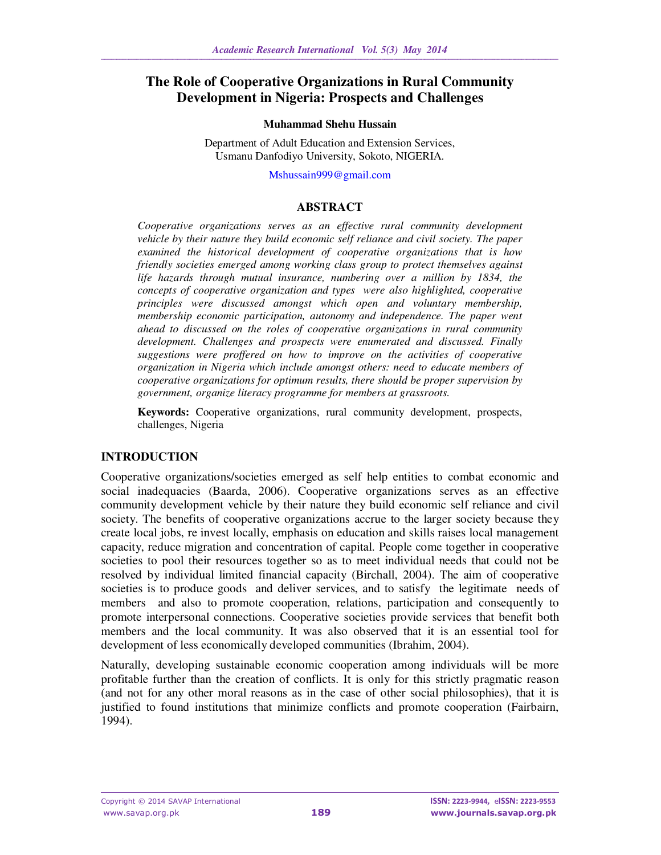# **The Role of Cooperative Organizations in Rural Community Development in Nigeria: Prospects and Challenges**

#### **Muhammad Shehu Hussain**

Department of Adult Education and Extension Services, Usmanu Danfodiyo University, Sokoto, NIGERIA.

Mshussain999@gmail.com

#### **ABSTRACT**

*Cooperative organizations serves as an effective rural community development vehicle by their nature they build economic self reliance and civil society. The paper examined the historical development of cooperative organizations that is how friendly societies emerged among working class group to protect themselves against life hazards through mutual insurance, numbering over a million by 1834, the concepts of cooperative organization and types were also highlighted, cooperative principles were discussed amongst which open and voluntary membership, membership economic participation, autonomy and independence. The paper went ahead to discussed on the roles of cooperative organizations in rural community development. Challenges and prospects were enumerated and discussed. Finally suggestions were proffered on how to improve on the activities of cooperative organization in Nigeria which include amongst others: need to educate members of cooperative organizations for optimum results, there should be proper supervision by government, organize literacy programme for members at grassroots.* 

**Keywords:** Cooperative organizations, rural community development, prospects, challenges, Nigeria

## **INTRODUCTION**

Cooperative organizations/societies emerged as self help entities to combat economic and social inadequacies (Baarda, 2006). Cooperative organizations serves as an effective community development vehicle by their nature they build economic self reliance and civil society. The benefits of cooperative organizations accrue to the larger society because they create local jobs, re invest locally, emphasis on education and skills raises local management capacity, reduce migration and concentration of capital. People come together in cooperative societies to pool their resources together so as to meet individual needs that could not be resolved by individual limited financial capacity (Birchall, 2004). The aim of cooperative societies is to produce goods and deliver services, and to satisfy the legitimate needs of members and also to promote cooperation, relations, participation and consequently to promote interpersonal connections. Cooperative societies provide services that benefit both members and the local community. It was also observed that it is an essential tool for development of less economically developed communities (Ibrahim, 2004).

Naturally, developing sustainable economic cooperation among individuals will be more profitable further than the creation of conflicts. It is only for this strictly pragmatic reason (and not for any other moral reasons as in the case of other social philosophies), that it is justified to found institutions that minimize conflicts and promote cooperation (Fairbairn, 1994).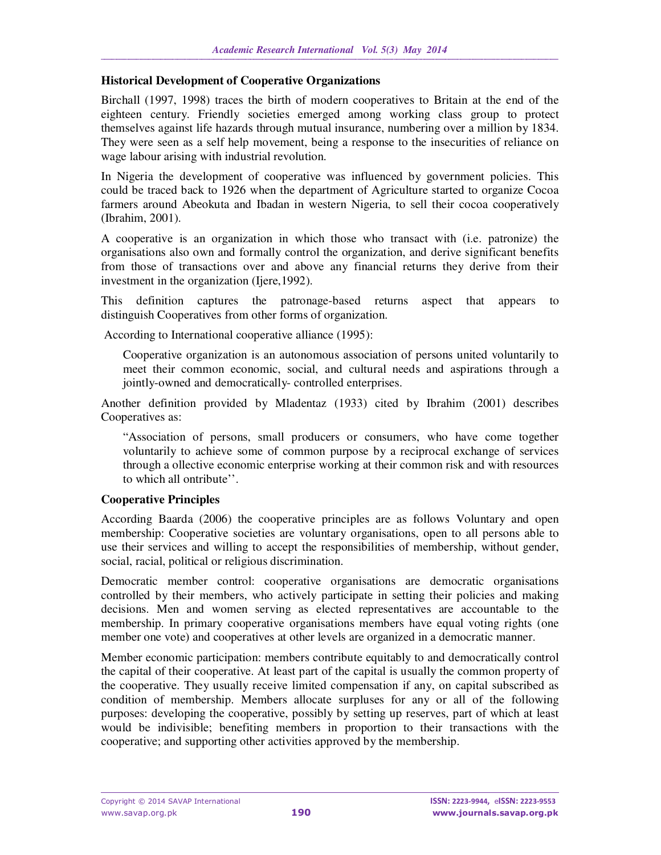### **Historical Development of Cooperative Organizations**

Birchall (1997, 1998) traces the birth of modern cooperatives to Britain at the end of the eighteen century. Friendly societies emerged among working class group to protect themselves against life hazards through mutual insurance, numbering over a million by 1834. They were seen as a self help movement, being a response to the insecurities of reliance on wage labour arising with industrial revolution.

In Nigeria the development of cooperative was influenced by government policies. This could be traced back to 1926 when the department of Agriculture started to organize Cocoa farmers around Abeokuta and Ibadan in western Nigeria, to sell their cocoa cooperatively (Ibrahim, 2001).

A cooperative is an organization in which those who transact with (i.e. patronize) the organisations also own and formally control the organization, and derive significant benefits from those of transactions over and above any financial returns they derive from their investment in the organization (Ijere,1992).

This definition captures the patronage-based returns aspect that appears to distinguish Cooperatives from other forms of organization.

According to International cooperative alliance (1995):

Cooperative organization is an autonomous association of persons united voluntarily to meet their common economic, social, and cultural needs and aspirations through a jointly-owned and democratically- controlled enterprises.

Another definition provided by Mladentaz (1933) cited by Ibrahim (2001) describes Cooperatives as:

"Association of persons, small producers or consumers, who have come together voluntarily to achieve some of common purpose by a reciprocal exchange of services through a ollective economic enterprise working at their common risk and with resources to which all ontribute''.

#### **Cooperative Principles**

According Baarda (2006) the cooperative principles are as follows Voluntary and open membership: Cooperative societies are voluntary organisations, open to all persons able to use their services and willing to accept the responsibilities of membership, without gender, social, racial, political or religious discrimination.

Democratic member control: cooperative organisations are democratic organisations controlled by their members, who actively participate in setting their policies and making decisions. Men and women serving as elected representatives are accountable to the membership. In primary cooperative organisations members have equal voting rights (one member one vote) and cooperatives at other levels are organized in a democratic manner.

Member economic participation: members contribute equitably to and democratically control the capital of their cooperative. At least part of the capital is usually the common property of the cooperative. They usually receive limited compensation if any, on capital subscribed as condition of membership. Members allocate surpluses for any or all of the following purposes: developing the cooperative, possibly by setting up reserves, part of which at least would be indivisible; benefiting members in proportion to their transactions with the cooperative; and supporting other activities approved by the membership.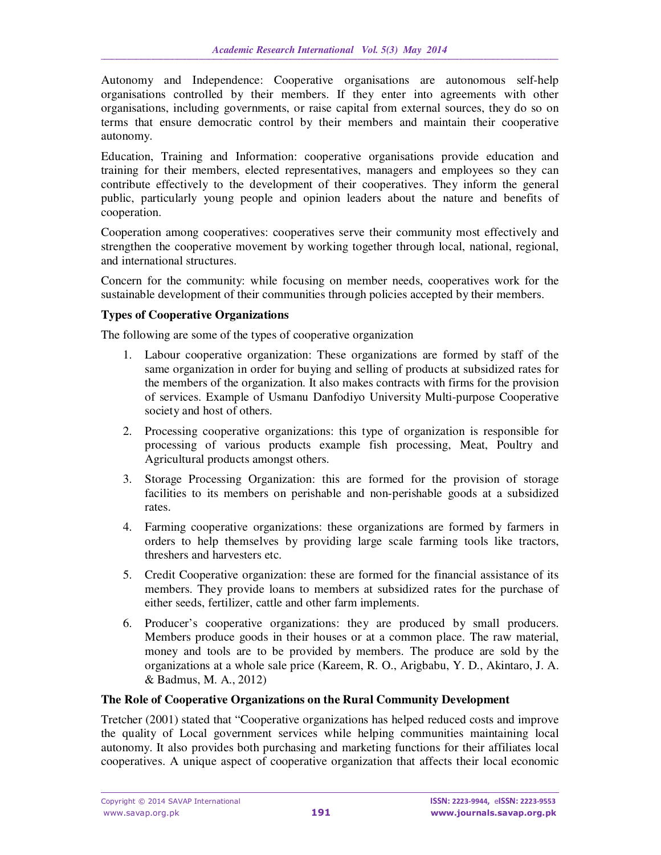Autonomy and Independence: Cooperative organisations are autonomous self-help organisations controlled by their members. If they enter into agreements with other organisations, including governments, or raise capital from external sources, they do so on terms that ensure democratic control by their members and maintain their cooperative autonomy.

Education, Training and Information: cooperative organisations provide education and training for their members, elected representatives, managers and employees so they can contribute effectively to the development of their cooperatives. They inform the general public, particularly young people and opinion leaders about the nature and benefits of cooperation.

Cooperation among cooperatives: cooperatives serve their community most effectively and strengthen the cooperative movement by working together through local, national, regional, and international structures.

Concern for the community: while focusing on member needs, cooperatives work for the sustainable development of their communities through policies accepted by their members.

### **Types of Cooperative Organizations**

The following are some of the types of cooperative organization

- 1. Labour cooperative organization: These organizations are formed by staff of the same organization in order for buying and selling of products at subsidized rates for the members of the organization. It also makes contracts with firms for the provision of services. Example of Usmanu Danfodiyo University Multi-purpose Cooperative society and host of others.
- 2. Processing cooperative organizations: this type of organization is responsible for processing of various products example fish processing, Meat, Poultry and Agricultural products amongst others.
- 3. Storage Processing Organization: this are formed for the provision of storage facilities to its members on perishable and non-perishable goods at a subsidized rates.
- 4. Farming cooperative organizations: these organizations are formed by farmers in orders to help themselves by providing large scale farming tools like tractors, threshers and harvesters etc.
- 5. Credit Cooperative organization: these are formed for the financial assistance of its members. They provide loans to members at subsidized rates for the purchase of either seeds, fertilizer, cattle and other farm implements.
- 6. Producer's cooperative organizations: they are produced by small producers. Members produce goods in their houses or at a common place. The raw material, money and tools are to be provided by members. The produce are sold by the organizations at a whole sale price (Kareem, R. O., Arigbabu, Y. D., Akintaro, J. A. & Badmus, M. A., 2012)

#### **The Role of Cooperative Organizations on the Rural Community Development**

Tretcher (2001) stated that "Cooperative organizations has helped reduced costs and improve the quality of Local government services while helping communities maintaining local autonomy. It also provides both purchasing and marketing functions for their affiliates local cooperatives. A unique aspect of cooperative organization that affects their local economic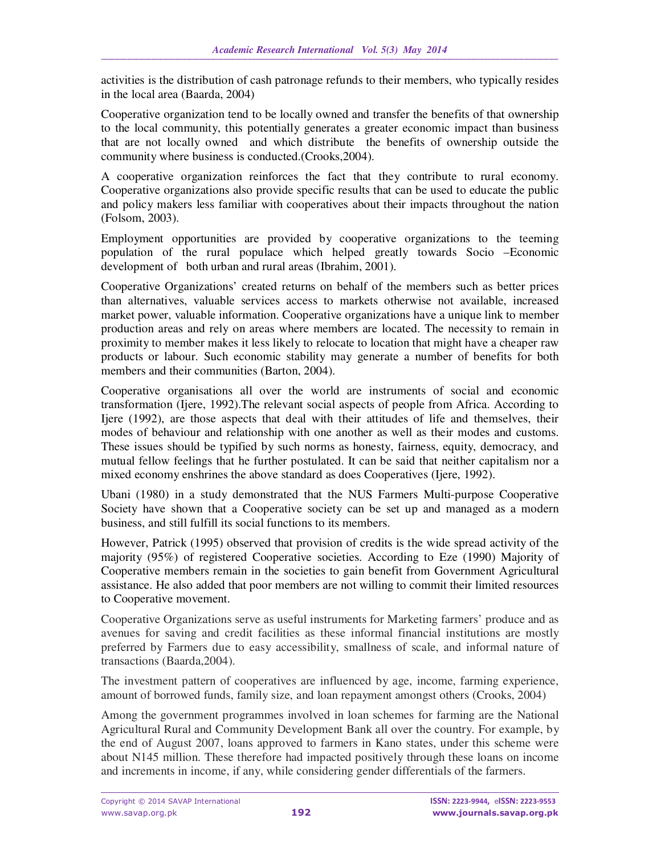activities is the distribution of cash patronage refunds to their members, who typically resides in the local area (Baarda, 2004)

Cooperative organization tend to be locally owned and transfer the benefits of that ownership to the local community, this potentially generates a greater economic impact than business that are not locally owned and which distribute the benefits of ownership outside the community where business is conducted.(Crooks,2004).

A cooperative organization reinforces the fact that they contribute to rural economy. Cooperative organizations also provide specific results that can be used to educate the public and policy makers less familiar with cooperatives about their impacts throughout the nation (Folsom, 2003).

Employment opportunities are provided by cooperative organizations to the teeming population of the rural populace which helped greatly towards Socio –Economic development of both urban and rural areas (Ibrahim, 2001).

Cooperative Organizations' created returns on behalf of the members such as better prices than alternatives, valuable services access to markets otherwise not available, increased market power, valuable information. Cooperative organizations have a unique link to member production areas and rely on areas where members are located. The necessity to remain in proximity to member makes it less likely to relocate to location that might have a cheaper raw products or labour. Such economic stability may generate a number of benefits for both members and their communities (Barton, 2004).

Cooperative organisations all over the world are instruments of social and economic transformation (Ijere, 1992).The relevant social aspects of people from Africa. According to Ijere (1992), are those aspects that deal with their attitudes of life and themselves, their modes of behaviour and relationship with one another as well as their modes and customs. These issues should be typified by such norms as honesty, fairness, equity, democracy, and mutual fellow feelings that he further postulated. It can be said that neither capitalism nor a mixed economy enshrines the above standard as does Cooperatives (Ijere, 1992).

Ubani (1980) in a study demonstrated that the NUS Farmers Multi-purpose Cooperative Society have shown that a Cooperative society can be set up and managed as a modern business, and still fulfill its social functions to its members.

However, Patrick (1995) observed that provision of credits is the wide spread activity of the majority (95%) of registered Cooperative societies. According to Eze (1990) Majority of Cooperative members remain in the societies to gain benefit from Government Agricultural assistance. He also added that poor members are not willing to commit their limited resources to Cooperative movement.

Cooperative Organizations serve as useful instruments for Marketing farmers' produce and as avenues for saving and credit facilities as these informal financial institutions are mostly preferred by Farmers due to easy accessibility, smallness of scale, and informal nature of transactions (Baarda,2004).

The investment pattern of cooperatives are influenced by age, income, farming experience, amount of borrowed funds, family size, and loan repayment amongst others (Crooks, 2004)

Among the government programmes involved in loan schemes for farming are the National Agricultural Rural and Community Development Bank all over the country. For example, by the end of August 2007, loans approved to farmers in Kano states, under this scheme were about N145 million. These therefore had impacted positively through these loans on income and increments in income, if any, while considering gender differentials of the farmers.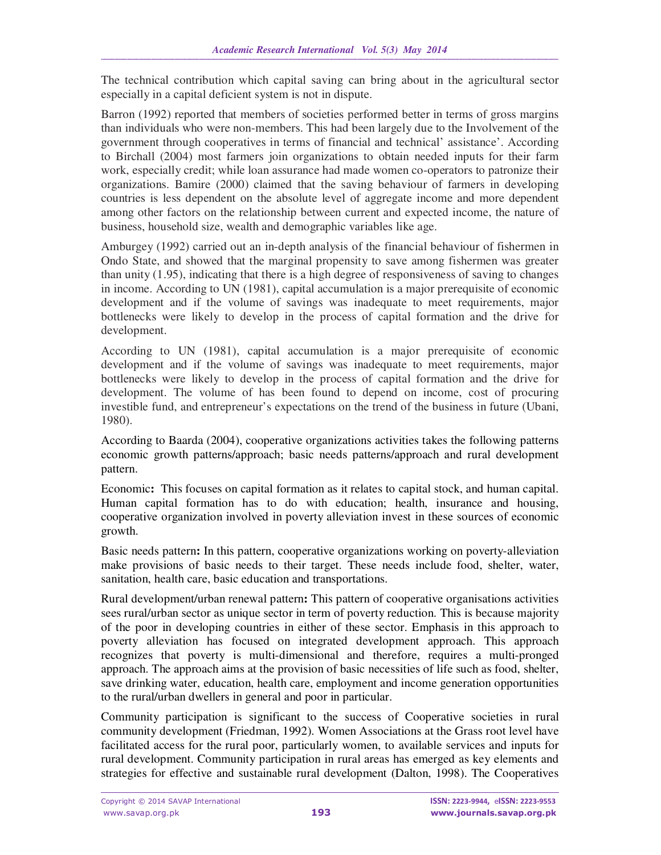The technical contribution which capital saving can bring about in the agricultural sector especially in a capital deficient system is not in dispute.

Barron (1992) reported that members of societies performed better in terms of gross margins than individuals who were non-members. This had been largely due to the Involvement of the government through cooperatives in terms of financial and technical' assistance'. According to Birchall (2004) most farmers join organizations to obtain needed inputs for their farm work, especially credit; while loan assurance had made women co-operators to patronize their organizations. Bamire (2000) claimed that the saving behaviour of farmers in developing countries is less dependent on the absolute level of aggregate income and more dependent among other factors on the relationship between current and expected income, the nature of business, household size, wealth and demographic variables like age.

Amburgey (1992) carried out an in-depth analysis of the financial behaviour of fishermen in Ondo State, and showed that the marginal propensity to save among fishermen was greater than unity (1.95), indicating that there is a high degree of responsiveness of saving to changes in income. According to UN (1981), capital accumulation is a major prerequisite of economic development and if the volume of savings was inadequate to meet requirements, major bottlenecks were likely to develop in the process of capital formation and the drive for development.

According to UN (1981), capital accumulation is a major prerequisite of economic development and if the volume of savings was inadequate to meet requirements, major bottlenecks were likely to develop in the process of capital formation and the drive for development. The volume of has been found to depend on income, cost of procuring investible fund, and entrepreneur's expectations on the trend of the business in future (Ubani, 1980).

According to Baarda (2004), cooperative organizations activities takes the following patterns economic growth patterns/approach; basic needs patterns/approach and rural development pattern.

Economic**:** This focuses on capital formation as it relates to capital stock, and human capital. Human capital formation has to do with education; health, insurance and housing, cooperative organization involved in poverty alleviation invest in these sources of economic growth.

Basic needs pattern**:** In this pattern, cooperative organizations working on poverty-alleviation make provisions of basic needs to their target. These needs include food, shelter, water, sanitation, health care, basic education and transportations.

Rural development/urban renewal pattern**:** This pattern of cooperative organisations activities sees rural/urban sector as unique sector in term of poverty reduction. This is because majority of the poor in developing countries in either of these sector. Emphasis in this approach to poverty alleviation has focused on integrated development approach. This approach recognizes that poverty is multi-dimensional and therefore, requires a multi-pronged approach. The approach aims at the provision of basic necessities of life such as food, shelter, save drinking water, education, health care, employment and income generation opportunities to the rural/urban dwellers in general and poor in particular.

Community participation is significant to the success of Cooperative societies in rural community development (Friedman, 1992). Women Associations at the Grass root level have facilitated access for the rural poor, particularly women, to available services and inputs for rural development. Community participation in rural areas has emerged as key elements and strategies for effective and sustainable rural development (Dalton, 1998). The Cooperatives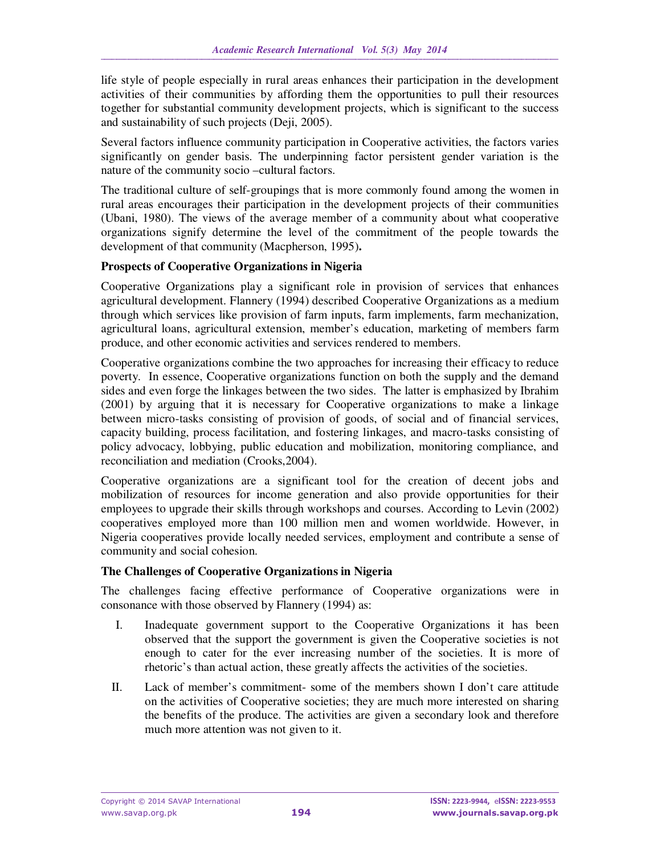life style of people especially in rural areas enhances their participation in the development activities of their communities by affording them the opportunities to pull their resources together for substantial community development projects, which is significant to the success and sustainability of such projects (Deji, 2005).

Several factors influence community participation in Cooperative activities, the factors varies significantly on gender basis. The underpinning factor persistent gender variation is the nature of the community socio –cultural factors.

The traditional culture of self-groupings that is more commonly found among the women in rural areas encourages their participation in the development projects of their communities (Ubani, 1980). The views of the average member of a community about what cooperative organizations signify determine the level of the commitment of the people towards the development of that community (Macpherson, 1995)**.**

### **Prospects of Cooperative Organizations in Nigeria**

Cooperative Organizations play a significant role in provision of services that enhances agricultural development. Flannery (1994) described Cooperative Organizations as a medium through which services like provision of farm inputs, farm implements, farm mechanization, agricultural loans, agricultural extension, member's education, marketing of members farm produce, and other economic activities and services rendered to members.

Cooperative organizations combine the two approaches for increasing their efficacy to reduce poverty. In essence, Cooperative organizations function on both the supply and the demand sides and even forge the linkages between the two sides. The latter is emphasized by Ibrahim (2001) by arguing that it is necessary for Cooperative organizations to make a linkage between micro-tasks consisting of provision of goods, of social and of financial services, capacity building, process facilitation, and fostering linkages, and macro-tasks consisting of policy advocacy, lobbying, public education and mobilization, monitoring compliance, and reconciliation and mediation (Crooks,2004).

Cooperative organizations are a significant tool for the creation of decent jobs and mobilization of resources for income generation and also provide opportunities for their employees to upgrade their skills through workshops and courses. According to Levin (2002) cooperatives employed more than 100 million men and women worldwide. However, in Nigeria cooperatives provide locally needed services, employment and contribute a sense of community and social cohesion.

#### **The Challenges of Cooperative Organizations in Nigeria**

The challenges facing effective performance of Cooperative organizations were in consonance with those observed by Flannery (1994) as:

- I. Inadequate government support to the Cooperative Organizations it has been observed that the support the government is given the Cooperative societies is not enough to cater for the ever increasing number of the societies. It is more of rhetoric's than actual action, these greatly affects the activities of the societies.
- II. Lack of member's commitment- some of the members shown I don't care attitude on the activities of Cooperative societies; they are much more interested on sharing the benefits of the produce. The activities are given a secondary look and therefore much more attention was not given to it.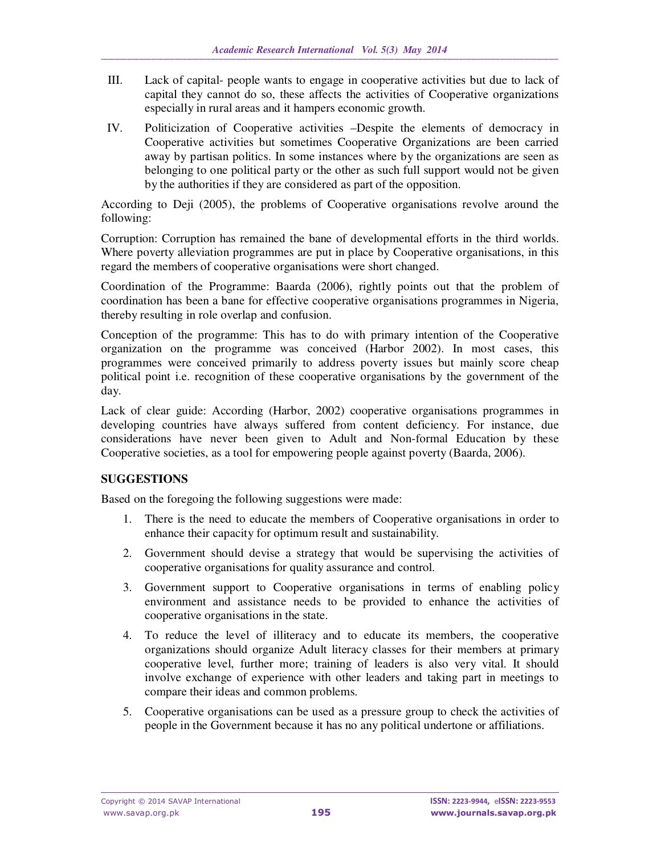- III. Lack of capital- people wants to engage in cooperative activities but due to lack of capital they cannot do so, these affects the activities of Cooperative organizations especially in rural areas and it hampers economic growth.
- IV. Politicization of Cooperative activities –Despite the elements of democracy in Cooperative activities but sometimes Cooperative Organizations are been carried away by partisan politics. In some instances where by the organizations are seen as belonging to one political party or the other as such full support would not be given by the authorities if they are considered as part of the opposition.

According to Deji (2005), the problems of Cooperative organisations revolve around the following:

Corruption: Corruption has remained the bane of developmental efforts in the third worlds. Where poverty alleviation programmes are put in place by Cooperative organisations, in this regard the members of cooperative organisations were short changed.

Coordination of the Programme: Baarda (2006), rightly points out that the problem of coordination has been a bane for effective cooperative organisations programmes in Nigeria, thereby resulting in role overlap and confusion.

Conception of the programme: This has to do with primary intention of the Cooperative organization on the programme was conceived (Harbor 2002). In most cases, this programmes were conceived primarily to address poverty issues but mainly score cheap political point i.e. recognition of these cooperative organisations by the government of the day.

Lack of clear guide: According (Harbor, 2002) cooperative organisations programmes in developing countries have always suffered from content deficiency. For instance, due considerations have never been given to Adult and Non-formal Education by these Cooperative societies, as a tool for empowering people against poverty (Baarda, 2006).

## **SUGGESTIONS**

Based on the foregoing the following suggestions were made:

- 1. There is the need to educate the members of Cooperative organisations in order to enhance their capacity for optimum result and sustainability.
- 2. Government should devise a strategy that would be supervising the activities of cooperative organisations for quality assurance and control.
- 3. Government support to Cooperative organisations in terms of enabling policy environment and assistance needs to be provided to enhance the activities of cooperative organisations in the state.
- 4. To reduce the level of illiteracy and to educate its members, the cooperative organizations should organize Adult literacy classes for their members at primary cooperative level, further more; training of leaders is also very vital. It should involve exchange of experience with other leaders and taking part in meetings to compare their ideas and common problems.
- 5. Cooperative organisations can be used as a pressure group to check the activities of people in the Government because it has no any political undertone or affiliations.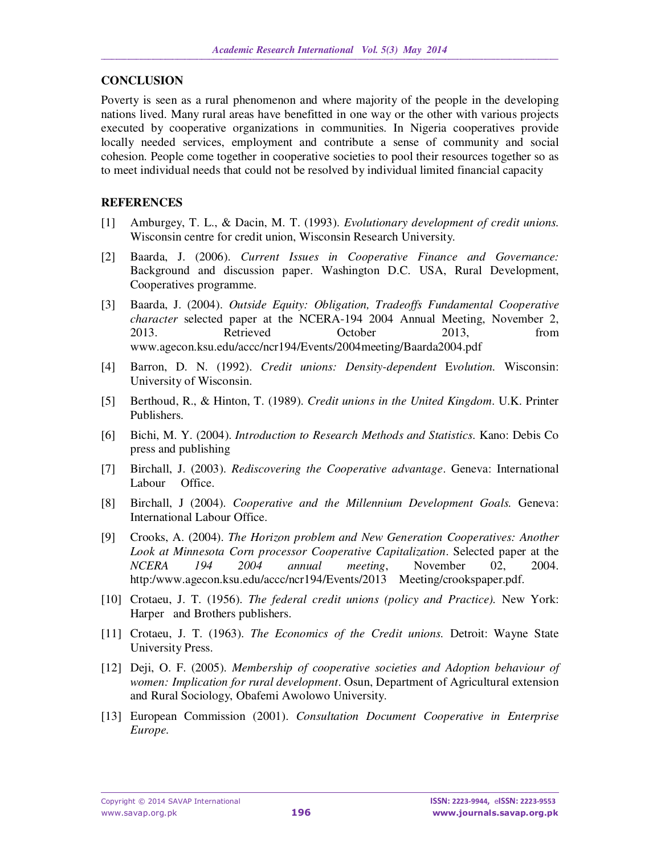### **CONCLUSION**

Poverty is seen as a rural phenomenon and where majority of the people in the developing nations lived. Many rural areas have benefitted in one way or the other with various projects executed by cooperative organizations in communities. In Nigeria cooperatives provide locally needed services, employment and contribute a sense of community and social cohesion. People come together in cooperative societies to pool their resources together so as to meet individual needs that could not be resolved by individual limited financial capacity

### **REFERENCES**

- [1] Amburgey, T. L., & Dacin, M. T. (1993). *Evolutionary development of credit unions.*  Wisconsin centre for credit union, Wisconsin Research University.
- [2] Baarda, J. (2006). *Current Issues in Cooperative Finance and Governance:*  Background and discussion paper. Washington D.C. USA, Rural Development, Cooperatives programme.
- [3] Baarda, J. (2004). *Outside Equity: Obligation, Tradeoffs Fundamental Cooperative character* selected paper at the NCERA-194 2004 Annual Meeting, November 2, 2013. Retrieved October 2013, from www.agecon.ksu.edu/accc/ncr194/Events/2004meeting/Baarda2004.pdf
- [4] Barron, D. N. (1992). *Credit unions: Density-dependent* E*volution.* Wisconsin: University of Wisconsin.
- [5] Berthoud, R., & Hinton, T. (1989). *Credit unions in the United Kingdom*. U.K. Printer Publishers.
- [6] Bichi, M. Y. (2004). *Introduction to Research Methods and Statistics*. Kano: Debis Co press and publishing
- [7] Birchall, J. (2003). *Rediscovering the Cooperative advantage*. Geneva: International Labour Office.
- [8] Birchall, J (2004). *Cooperative and the Millennium Development Goals.* Geneva: International Labour Office.
- [9] Crooks, A. (2004). *The Horizon problem and New Generation Cooperatives: Another Look at Minnesota Corn processor Cooperative Capitalization*. Selected paper at the *NCERA 194 2004 annual meeting*, November 02, 2004. http:/www.agecon.ksu.edu/accc/ncr194/Events/2013 Meeting/crookspaper.pdf.
- [10] Crotaeu, J. T. (1956). *The federal credit unions (policy and Practice).* New York: Harper and Brothers publishers.
- [11] Crotaeu, J. T. (1963). *The Economics of the Credit unions.* Detroit: Wayne State University Press.
- [12] Deji, O. F. (2005). *Membership of cooperative societies and Adoption behaviour of women: Implication for rural development*. Osun, Department of Agricultural extension and Rural Sociology, Obafemi Awolowo University.
- [13] European Commission (2001). *Consultation Document Cooperative in Enterprise Europe.*